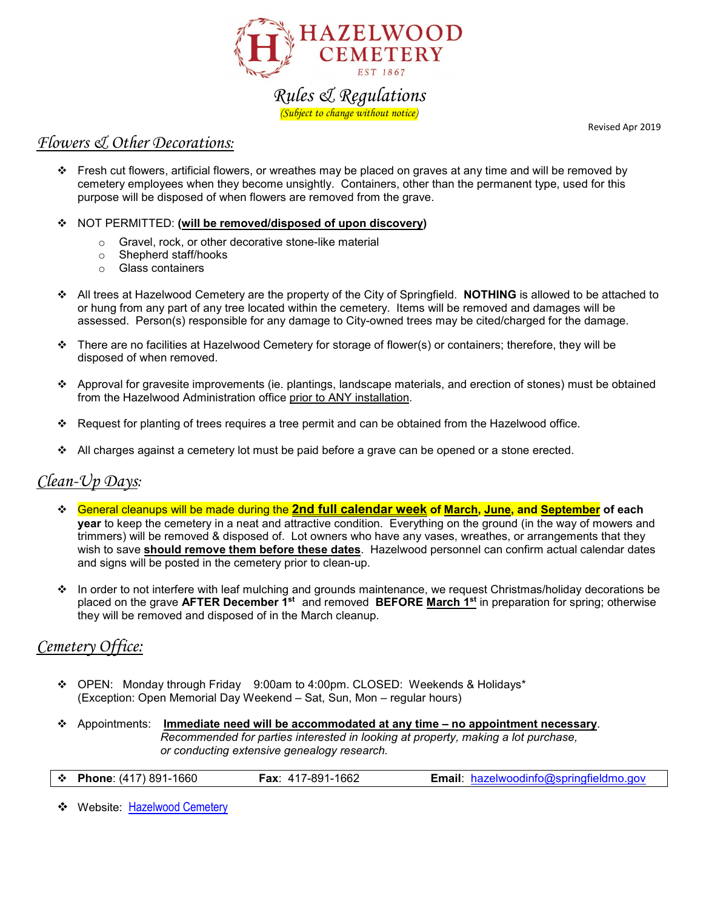

# *Rules & Regulations (Subject to change without notice)*

Revised Apr 2019

### *Flowers & Other Decorations:*

- Fresh cut flowers, artificial flowers, or wreathes may be placed on graves at any time and will be removed by cemetery employees when they become unsightly. Containers, other than the permanent type, used for this purpose will be disposed of when flowers are removed from the grave.
- NOT PERMITTED: **(will be removed/disposed of upon discovery)**
	- $\circ$  Gravel, rock, or other decorative stone-like material  $\circ$  Shepherd staff/hooks
	- Shepherd staff/hooks
	- o Glass containers
- All trees at Hazelwood Cemetery are the property of the City of Springfield. **NOTHING** is allowed to be attached to or hung from any part of any tree located within the cemetery. Items will be removed and damages will be assessed. Person(s) responsible for any damage to City-owned trees may be cited/charged for the damage.
- $\cdot \cdot$  There are no facilities at Hazelwood Cemetery for storage of flower(s) or containers; therefore, they will be disposed of when removed.
- Approval for gravesite improvements (ie. plantings, landscape materials, and erection of stones) must be obtained from the Hazelwood Administration office prior to ANY installation.
- Request for planting of trees requires a tree permit and can be obtained from the Hazelwood office.
- $\cdot$  All charges against a cemetery lot must be paid before a grave can be opened or a stone erected.

## *Clean-Up Days:*

- General cleanups will be made during the **2nd full calendar week of March, June, and September of each year** to keep the cemetery in a neat and attractive condition. Everything on the ground (in the way of mowers and trimmers) will be removed & disposed of. Lot owners who have any vases, wreathes, or arrangements that they wish to save **should remove them before these dates**. Hazelwood personnel can confirm actual calendar dates and signs will be posted in the cemetery prior to clean-up.
- $\cdot \cdot$  In order to not interfere with leaf mulching and grounds maintenance, we request Christmas/holiday decorations be placed on the grave **AFTER December 1st** and removed **BEFORE March 1st** in preparation for spring; otherwise they will be removed and disposed of in the March cleanup.

# *Cemetery Office:*

- OPEN: Monday through Friday 9:00am to 4:00pm. CLOSED: Weekends & Holidays\* (Exception: Open Memorial Day Weekend – Sat, Sun, Mon – regular hours)
- Appointments: **Immediate need will be accommodated at any time – no appointment necessary**. *Recommended for parties interested in looking at property, making a lot purchase, or conducting extensive genealogy research.*

|  | $\div$ Phone: (417) 891-1660 | <b>Fax: 417-891-1662</b> |  | <b>Email:</b> hazelwoodinfo@springfieldmo.gov |
|--|------------------------------|--------------------------|--|-----------------------------------------------|
|--|------------------------------|--------------------------|--|-----------------------------------------------|

◆ Website: [Hazelwood Cemetery](http://www.springfieldmo.gov/2614/Hazelwood-Cemetery)